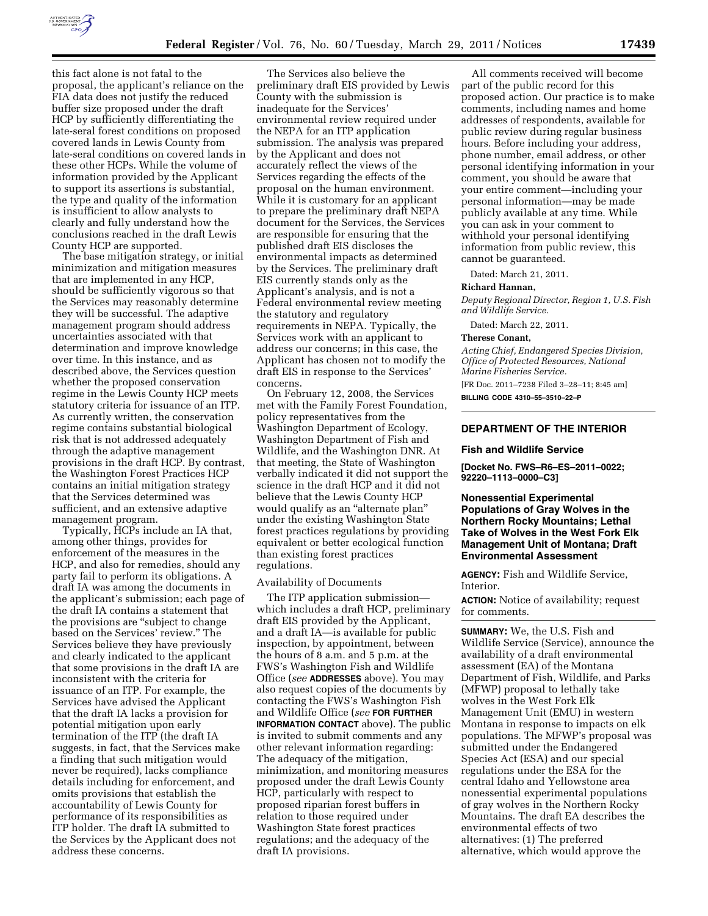

this fact alone is not fatal to the proposal, the applicant's reliance on the FIA data does not justify the reduced buffer size proposed under the draft HCP by sufficiently differentiating the late-seral forest conditions on proposed covered lands in Lewis County from late-seral conditions on covered lands in these other HCPs. While the volume of information provided by the Applicant to support its assertions is substantial, the type and quality of the information is insufficient to allow analysts to clearly and fully understand how the conclusions reached in the draft Lewis County HCP are supported.

The base mitigation strategy, or initial minimization and mitigation measures that are implemented in any HCP, should be sufficiently vigorous so that the Services may reasonably determine they will be successful. The adaptive management program should address uncertainties associated with that determination and improve knowledge over time. In this instance, and as described above, the Services question whether the proposed conservation regime in the Lewis County HCP meets statutory criteria for issuance of an ITP. As currently written, the conservation regime contains substantial biological risk that is not addressed adequately through the adaptive management provisions in the draft HCP. By contrast, the Washington Forest Practices HCP contains an initial mitigation strategy that the Services determined was sufficient, and an extensive adaptive management program.

Typically, HCPs include an IA that, among other things, provides for enforcement of the measures in the HCP, and also for remedies, should any party fail to perform its obligations. A draft IA was among the documents in the applicant's submission; each page of the draft IA contains a statement that the provisions are ''subject to change based on the Services' review.'' The Services believe they have previously and clearly indicated to the applicant that some provisions in the draft IA are inconsistent with the criteria for issuance of an ITP. For example, the Services have advised the Applicant that the draft IA lacks a provision for potential mitigation upon early termination of the ITP (the draft IA suggests, in fact, that the Services make a finding that such mitigation would never be required), lacks compliance details including for enforcement, and omits provisions that establish the accountability of Lewis County for performance of its responsibilities as ITP holder. The draft IA submitted to the Services by the Applicant does not address these concerns.

The Services also believe the preliminary draft EIS provided by Lewis County with the submission is inadequate for the Services' environmental review required under the NEPA for an ITP application submission. The analysis was prepared by the Applicant and does not accurately reflect the views of the Services regarding the effects of the proposal on the human environment. While it is customary for an applicant to prepare the preliminary draft NEPA document for the Services, the Services are responsible for ensuring that the published draft EIS discloses the environmental impacts as determined by the Services. The preliminary draft EIS currently stands only as the Applicant's analysis, and is not a Federal environmental review meeting the statutory and regulatory requirements in NEPA. Typically, the Services work with an applicant to address our concerns; in this case, the Applicant has chosen not to modify the draft EIS in response to the Services' concerns.

On February 12, 2008, the Services met with the Family Forest Foundation, policy representatives from the Washington Department of Ecology, Washington Department of Fish and Wildlife, and the Washington DNR. At that meeting, the State of Washington verbally indicated it did not support the science in the draft HCP and it did not believe that the Lewis County HCP would qualify as an "alternate plan" under the existing Washington State forest practices regulations by providing equivalent or better ecological function than existing forest practices regulations.

#### Availability of Documents

The ITP application submission which includes a draft HCP, preliminary draft EIS provided by the Applicant, and a draft IA—is available for public inspection, by appointment, between the hours of 8 a.m. and 5 p.m. at the FWS's Washington Fish and Wildlife Office (*see* **ADDRESSES** above). You may also request copies of the documents by contacting the FWS's Washington Fish and Wildlife Office (*see* **FOR FURTHER INFORMATION CONTACT** above). The public is invited to submit comments and any other relevant information regarding: The adequacy of the mitigation, minimization, and monitoring measures proposed under the draft Lewis County HCP, particularly with respect to proposed riparian forest buffers in relation to those required under Washington State forest practices regulations; and the adequacy of the draft IA provisions.

All comments received will become part of the public record for this proposed action. Our practice is to make comments, including names and home addresses of respondents, available for public review during regular business hours. Before including your address, phone number, email address, or other personal identifying information in your comment, you should be aware that your entire comment—including your personal information—may be made publicly available at any time. While you can ask in your comment to withhold your personal identifying information from public review, this cannot be guaranteed.

Dated: March 21, 2011.

#### **Richard Hannan,**

*Deputy Regional Director, Region 1, U.S. Fish and Wildlife Service.* 

Dated: March 22, 2011.

#### **Therese Conant,**

*Acting Chief, Endangered Species Division, Office of Protected Resources, National Marine Fisheries Service.* 

[FR Doc. 2011–7238 Filed 3–28–11; 8:45 am] **BILLING CODE 4310–55–3510–22–P** 

# **DEPARTMENT OF THE INTERIOR**

#### **Fish and Wildlife Service**

**[Docket No. FWS–R6–ES–2011–0022; 92220–1113–0000–C3]** 

# **Nonessential Experimental Populations of Gray Wolves in the Northern Rocky Mountains; Lethal Take of Wolves in the West Fork Elk Management Unit of Montana; Draft Environmental Assessment**

**AGENCY:** Fish and Wildlife Service, Interior.

**ACTION:** Notice of availability; request for comments.

**SUMMARY:** We, the U.S. Fish and Wildlife Service (Service), announce the availability of a draft environmental assessment (EA) of the Montana Department of Fish, Wildlife, and Parks (MFWP) proposal to lethally take wolves in the West Fork Elk Management Unit (EMU) in western Montana in response to impacts on elk populations. The MFWP's proposal was submitted under the Endangered Species Act (ESA) and our special regulations under the ESA for the central Idaho and Yellowstone area nonessential experimental populations of gray wolves in the Northern Rocky Mountains. The draft EA describes the environmental effects of two alternatives: (1) The preferred alternative, which would approve the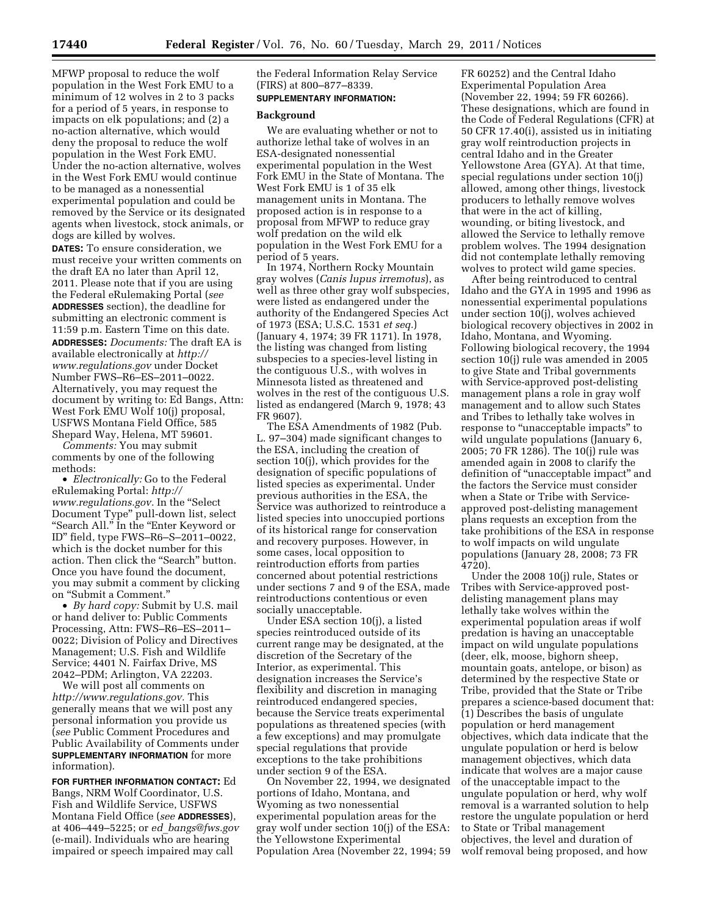MFWP proposal to reduce the wolf population in the West Fork EMU to a minimum of 12 wolves in 2 to 3 packs for a period of 5 years, in response to impacts on elk populations; and (2) a no-action alternative, which would deny the proposal to reduce the wolf population in the West Fork EMU. Under the no-action alternative, wolves in the West Fork EMU would continue to be managed as a nonessential experimental population and could be removed by the Service or its designated agents when livestock, stock animals, or

dogs are killed by wolves. **DATES:** To ensure consideration, we must receive your written comments on the draft EA no later than April 12, 2011. Please note that if you are using the Federal eRulemaking Portal (*see*  **ADDRESSES** section), the deadline for submitting an electronic comment is 11:59 p.m. Eastern Time on this date. **ADDRESSES:** *Documents:* The draft EA is available electronically at *[http://](http://www.regulations.gov)  [www.regulations.gov](http://www.regulations.gov)* under Docket Number FWS–R6–ES–2011–0022. Alternatively, you may request the document by writing to: Ed Bangs, Attn: West Fork EMU Wolf 10(j) proposal, USFWS Montana Field Office, 585 Shepard Way, Helena, MT 59601.

*Comments:* You may submit comments by one of the following methods:

• *Electronically:* Go to the Federal eRulemaking Portal: *[http://](http://www.regulations.gov) [www.regulations.gov.](http://www.regulations.gov)* In the ''Select Document Type'' pull-down list, select ''Search All.'' In the ''Enter Keyword or ID'' field, type FWS–R6–S–2011–0022, which is the docket number for this action. Then click the "Search" button. Once you have found the document, you may submit a comment by clicking on ''Submit a Comment.''

• *By hard copy:* Submit by U.S. mail or hand deliver to: Public Comments Processing, Attn: FWS–R6–ES–2011– 0022; Division of Policy and Directives Management; U.S. Fish and Wildlife Service; 4401 N. Fairfax Drive, MS 2042–PDM; Arlington, VA 22203.

We will post all comments on *[http://www.regulations.gov.](http://www.regulations.gov)* This generally means that we will post any personal information you provide us (*see* Public Comment Procedures and Public Availability of Comments under **SUPPLEMENTARY INFORMATION** for more information).

**FOR FURTHER INFORMATION CONTACT:** Ed Bangs, NRM Wolf Coordinator, U.S. Fish and Wildlife Service, USFWS Montana Field Office (*see* **ADDRESSES**), at 406–449–5225; or *ed*\_*[bangs@fws.gov](mailto:ed_bangs@fws.gov)*  (e-mail). Individuals who are hearing impaired or speech impaired may call

the Federal Information Relay Service (FIRS) at 800–877–8339. **SUPPLEMENTARY INFORMATION:** 

# **Background**

We are evaluating whether or not to authorize lethal take of wolves in an ESA-designated nonessential experimental population in the West Fork EMU in the State of Montana. The West Fork EMU is 1 of 35 elk management units in Montana. The proposed action is in response to a proposal from MFWP to reduce gray wolf predation on the wild elk population in the West Fork EMU for a period of 5 years.

In 1974, Northern Rocky Mountain gray wolves (*Canis lupus irremotus*), as well as three other gray wolf subspecies, were listed as endangered under the authority of the Endangered Species Act of 1973 (ESA; U.S.C. 1531 *et seq.*) (January 4, 1974; 39 FR 1171). In 1978, the listing was changed from listing subspecies to a species-level listing in the contiguous U.S., with wolves in Minnesota listed as threatened and wolves in the rest of the contiguous U.S. listed as endangered (March 9, 1978; 43 FR 9607).

The ESA Amendments of 1982 (Pub. L. 97–304) made significant changes to the ESA, including the creation of section 10(j), which provides for the designation of specific populations of listed species as experimental. Under previous authorities in the ESA, the Service was authorized to reintroduce a listed species into unoccupied portions of its historical range for conservation and recovery purposes. However, in some cases, local opposition to reintroduction efforts from parties concerned about potential restrictions under sections 7 and 9 of the ESA, made reintroductions contentious or even socially unacceptable.

Under ESA section 10(j), a listed species reintroduced outside of its current range may be designated, at the discretion of the Secretary of the Interior, as experimental. This designation increases the Service's flexibility and discretion in managing reintroduced endangered species, because the Service treats experimental populations as threatened species (with a few exceptions) and may promulgate special regulations that provide exceptions to the take prohibitions under section 9 of the ESA.

On November 22, 1994, we designated portions of Idaho, Montana, and Wyoming as two nonessential experimental population areas for the gray wolf under section 10(j) of the ESA: the Yellowstone Experimental Population Area (November 22, 1994; 59

FR 60252) and the Central Idaho Experimental Population Area (November 22, 1994; 59 FR 60266). These designations, which are found in the Code of Federal Regulations (CFR) at 50 CFR 17.40(i), assisted us in initiating gray wolf reintroduction projects in central Idaho and in the Greater Yellowstone Area (GYA). At that time, special regulations under section 10(j) allowed, among other things, livestock producers to lethally remove wolves that were in the act of killing, wounding, or biting livestock, and allowed the Service to lethally remove problem wolves. The 1994 designation did not contemplate lethally removing wolves to protect wild game species.

After being reintroduced to central Idaho and the GYA in 1995 and 1996 as nonessential experimental populations under section 10(j), wolves achieved biological recovery objectives in 2002 in Idaho, Montana, and Wyoming. Following biological recovery, the 1994 section 10(j) rule was amended in 2005 to give State and Tribal governments with Service-approved post-delisting management plans a role in gray wolf management and to allow such States and Tribes to lethally take wolves in response to "unacceptable impacts" to wild ungulate populations (January 6, 2005; 70 FR 1286). The 10(j) rule was amended again in 2008 to clarify the definition of ''unacceptable impact'' and the factors the Service must consider when a State or Tribe with Serviceapproved post-delisting management plans requests an exception from the take prohibitions of the ESA in response to wolf impacts on wild ungulate populations (January 28, 2008; 73 FR 4720).

Under the 2008 10(j) rule, States or Tribes with Service-approved postdelisting management plans may lethally take wolves within the experimental population areas if wolf predation is having an unacceptable impact on wild ungulate populations (deer, elk, moose, bighorn sheep, mountain goats, antelope, or bison) as determined by the respective State or Tribe, provided that the State or Tribe prepares a science-based document that: (1) Describes the basis of ungulate population or herd management objectives, which data indicate that the ungulate population or herd is below management objectives, which data indicate that wolves are a major cause of the unacceptable impact to the ungulate population or herd, why wolf removal is a warranted solution to help restore the ungulate population or herd to State or Tribal management objectives, the level and duration of wolf removal being proposed, and how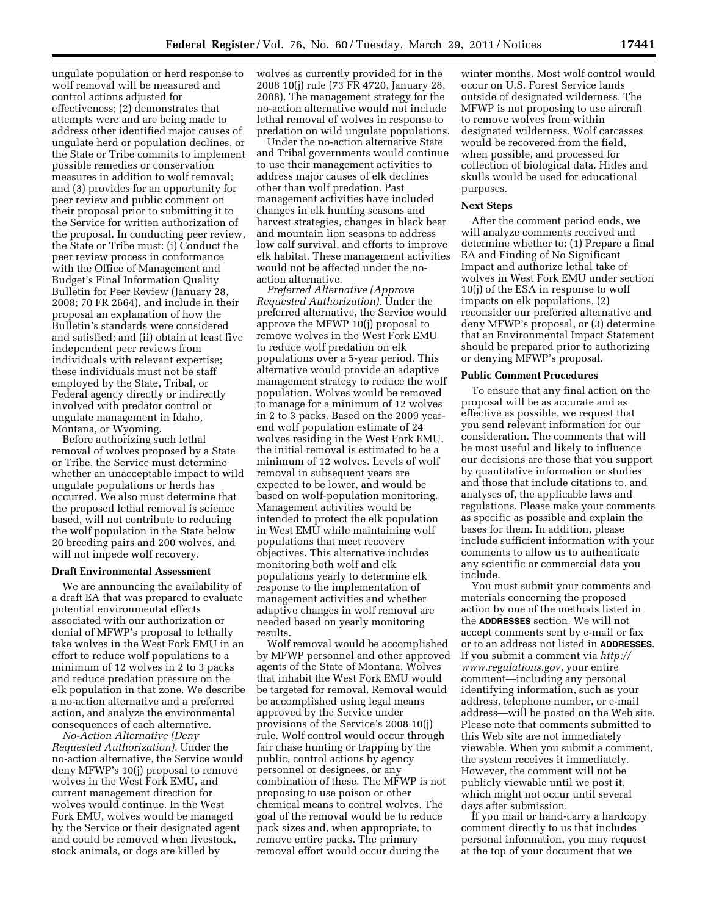ungulate population or herd response to wolf removal will be measured and control actions adjusted for effectiveness; (2) demonstrates that attempts were and are being made to address other identified major causes of ungulate herd or population declines, or the State or Tribe commits to implement possible remedies or conservation measures in addition to wolf removal; and (3) provides for an opportunity for peer review and public comment on their proposal prior to submitting it to the Service for written authorization of the proposal. In conducting peer review, the State or Tribe must: (i) Conduct the peer review process in conformance with the Office of Management and Budget's Final Information Quality Bulletin for Peer Review (January 28, 2008; 70 FR 2664), and include in their proposal an explanation of how the Bulletin's standards were considered and satisfied; and (ii) obtain at least five independent peer reviews from individuals with relevant expertise; these individuals must not be staff employed by the State, Tribal, or Federal agency directly or indirectly involved with predator control or ungulate management in Idaho, Montana, or Wyoming.

Before authorizing such lethal removal of wolves proposed by a State or Tribe, the Service must determine whether an unacceptable impact to wild ungulate populations or herds has occurred. We also must determine that the proposed lethal removal is science based, will not contribute to reducing the wolf population in the State below 20 breeding pairs and 200 wolves, and will not impede wolf recovery.

#### **Draft Environmental Assessment**

We are announcing the availability of a draft EA that was prepared to evaluate potential environmental effects associated with our authorization or denial of MFWP's proposal to lethally take wolves in the West Fork EMU in an effort to reduce wolf populations to a minimum of 12 wolves in 2 to 3 packs and reduce predation pressure on the elk population in that zone. We describe a no-action alternative and a preferred action, and analyze the environmental consequences of each alternative.

*No-Action Alternative (Deny Requested Authorization).* Under the no-action alternative, the Service would deny MFWP's 10(j) proposal to remove wolves in the West Fork EMU, and current management direction for wolves would continue. In the West Fork EMU, wolves would be managed by the Service or their designated agent and could be removed when livestock, stock animals, or dogs are killed by

wolves as currently provided for in the 2008 10(j) rule (73 FR 4720, January 28, 2008). The management strategy for the no-action alternative would not include lethal removal of wolves in response to predation on wild ungulate populations.

Under the no-action alternative State and Tribal governments would continue to use their management activities to address major causes of elk declines other than wolf predation. Past management activities have included changes in elk hunting seasons and harvest strategies, changes in black bear and mountain lion seasons to address low calf survival, and efforts to improve elk habitat. These management activities would not be affected under the noaction alternative.

*Preferred Alternative (Approve Requested Authorization).* Under the preferred alternative, the Service would approve the MFWP 10(j) proposal to remove wolves in the West Fork EMU to reduce wolf predation on elk populations over a 5-year period. This alternative would provide an adaptive management strategy to reduce the wolf population. Wolves would be removed to manage for a minimum of 12 wolves in 2 to 3 packs. Based on the 2009 yearend wolf population estimate of 24 wolves residing in the West Fork EMU, the initial removal is estimated to be a minimum of 12 wolves. Levels of wolf removal in subsequent years are expected to be lower, and would be based on wolf-population monitoring. Management activities would be intended to protect the elk population in West EMU while maintaining wolf populations that meet recovery objectives. This alternative includes monitoring both wolf and elk populations yearly to determine elk response to the implementation of management activities and whether adaptive changes in wolf removal are needed based on yearly monitoring results.

Wolf removal would be accomplished by MFWP personnel and other approved agents of the State of Montana. Wolves that inhabit the West Fork EMU would be targeted for removal. Removal would be accomplished using legal means approved by the Service under provisions of the Service's 2008 10(j) rule. Wolf control would occur through fair chase hunting or trapping by the public, control actions by agency personnel or designees, or any combination of these. The MFWP is not proposing to use poison or other chemical means to control wolves. The goal of the removal would be to reduce pack sizes and, when appropriate, to remove entire packs. The primary removal effort would occur during the

winter months. Most wolf control would occur on U.S. Forest Service lands outside of designated wilderness. The MFWP is not proposing to use aircraft to remove wolves from within designated wilderness. Wolf carcasses would be recovered from the field, when possible, and processed for collection of biological data. Hides and skulls would be used for educational purposes.

#### **Next Steps**

After the comment period ends, we will analyze comments received and determine whether to: (1) Prepare a final EA and Finding of No Significant Impact and authorize lethal take of wolves in West Fork EMU under section 10(j) of the ESA in response to wolf impacts on elk populations, (2) reconsider our preferred alternative and deny MFWP's proposal, or (3) determine that an Environmental Impact Statement should be prepared prior to authorizing or denying MFWP's proposal.

# **Public Comment Procedures**

To ensure that any final action on the proposal will be as accurate and as effective as possible, we request that you send relevant information for our consideration. The comments that will be most useful and likely to influence our decisions are those that you support by quantitative information or studies and those that include citations to, and analyses of, the applicable laws and regulations. Please make your comments as specific as possible and explain the bases for them. In addition, please include sufficient information with your comments to allow us to authenticate any scientific or commercial data you include.

You must submit your comments and materials concerning the proposed action by one of the methods listed in the **ADDRESSES** section. We will not accept comments sent by e-mail or fax or to an address not listed in **ADDRESSES**. If you submit a comment via *[http://](http://www.regulations.gov)  [www.regulations.gov](http://www.regulations.gov)*, your entire comment—including any personal identifying information, such as your address, telephone number, or e-mail address—will be posted on the Web site. Please note that comments submitted to this Web site are not immediately viewable. When you submit a comment, the system receives it immediately. However, the comment will not be publicly viewable until we post it, which might not occur until several days after submission.

If you mail or hand-carry a hardcopy comment directly to us that includes personal information, you may request at the top of your document that we